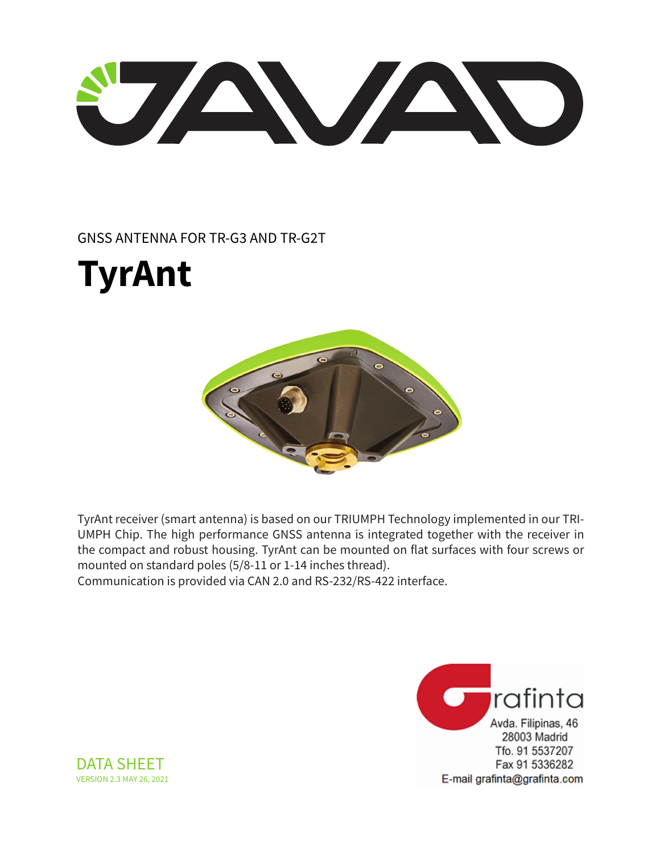U AVAND

### GNSS ANTENNA FOR TR-G3 AND TR-G2T





TyrAnt receiver (smart antenna) is based on our TRIUMPH Technology implemented in our TRI-UMPH Chip. The high performance GNSS antenna is integrated together with the receiver in the compact and robust housing. TyrAnt can be mounted on flat surfaces with four screws or mounted on standard poles (5/8-11 or 1-14 inches thread).

Communication is provided via CAN 2.0 and RS-232/RS-422 interface.



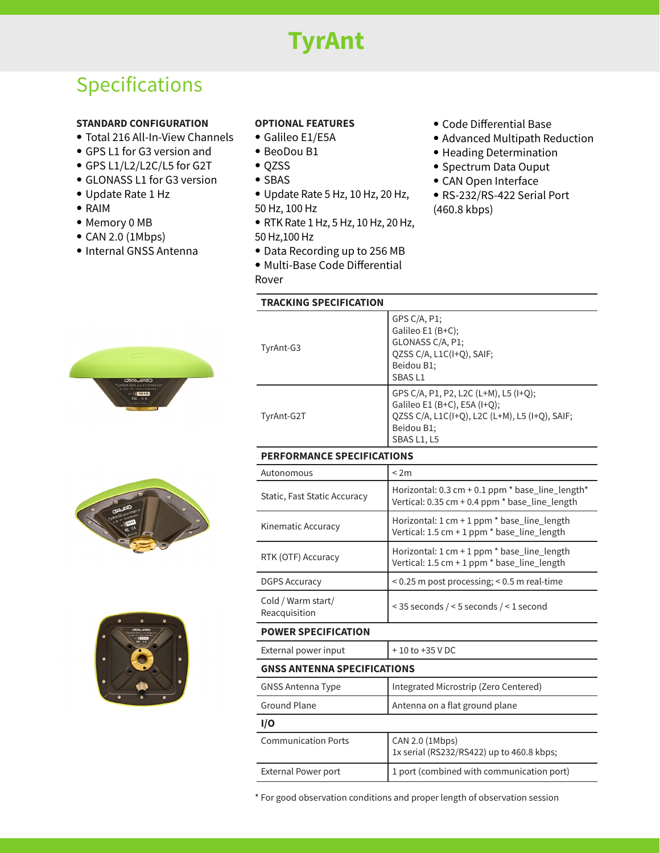# **TyrAnt**

## Specifications

#### **STANDARD CONFIGURATION**

- Total 216 All-In-View Channels
- GPS L1 for G3 version and
- GPS L1/L2/L2C/L5 for G2T
- GLONASS L1 for G3 version
- Update Rate 1 Hz
- RAIM
- Memory 0 MB
- CAN 2.0 (1Mbps)
- Internal GNSS Antenna

#### **OPTIONAL FEATURES**

- Galileo E1/E5A
- BeoDou B1
- QZSS
- SBAS
- Update Rate 5 Hz, 10 Hz, 20 Hz, 50 Hz, 100 Hz
- RTK Rate 1 Hz, 5 Hz, 10 Hz, 20 Hz, 50 Hz,100 Hz
- Data Recording up to 256 MB
- Multi-Base Code Differential
- Rover

#### **TRACKING SPECIFICATION**

- Code Differential Base
- Advanced Multipath Reduction
- Heading Determination
- Spectrum Data Ouput
- CAN Open Interface
- RS-232/RS-422 Serial Port (460.8 kbps)

| m.                                                                                                                      |  |
|-------------------------------------------------------------------------------------------------------------------------|--|
|                                                                                                                         |  |
| <b>CAVAD</b>                                                                                                            |  |
| TyrAnt-G3 p/n 01-570901-01<br>9-35V PP 130mA EN60950-1<br>$\sin\left[\frac{\pi}{3}\right]$ 1015<br>FC CE<br>Made in USA |  |





| TyrAnt-G3  | GPS C/A, P1;<br>Galileo E1 (B+C);<br>GLONASS C/A, P1;<br>QZSS C/A, L1C(I+Q), SAIF;<br>Beidou B1;<br>SBAS <sub>L1</sub>                               |
|------------|------------------------------------------------------------------------------------------------------------------------------------------------------|
| TyrAnt-G2T | GPS C/A, P1, P2, L2C (L+M), L5 (I+Q);<br>Galileo E1 (B+C), E5A (I+Q);<br>QZSS C/A, L1C(I+Q), L2C (L+M), L5 (I+Q), SAIF;<br>Beidou B1;<br>SBAS L1, L5 |

#### **PERFORMANCE SPECIFICATIONS**

| Autonomous                          | < 2m                                                                                                    |  |
|-------------------------------------|---------------------------------------------------------------------------------------------------------|--|
| Static, Fast Static Accuracy        | Horizontal: 0.3 cm + 0.1 ppm $*$ base_line_length $*$<br>Vertical: 0.35 cm + 0.4 ppm * base_line_length |  |
| Kinematic Accuracy                  | Horizontal: 1 cm + 1 ppm * base_line_length<br>Vertical: 1.5 cm + 1 ppm * base_line_length              |  |
| RTK (OTF) Accuracy                  | Horizontal: 1 cm + 1 ppm * base_line_length<br>Vertical: 1.5 cm + 1 ppm * base_line_length              |  |
| <b>DGPS Accuracy</b>                | < 0.25 m post processing; < 0.5 m real-time                                                             |  |
| Cold / Warm start/<br>Reacquisition | $\le$ 35 seconds / $\le$ 5 seconds / $\le$ 1 second                                                     |  |
| BAILIER CRECIEIC                    |                                                                                                         |  |

#### **POWER SPECIFICATION**

External power input  $+10$  to +35 V DC

#### **GNSS ANTENNA SPECIFICATIONS**

| <b>GNSS Antenna Type</b>   | Integrated Microstrip (Zero Centered)                        |  |
|----------------------------|--------------------------------------------------------------|--|
| <b>Ground Plane</b>        | Antenna on a flat ground plane                               |  |
| I/O                        |                                                              |  |
| <b>Communication Ports</b> | CAN 2.0 (1Mbps)<br>1x serial (RS232/RS422) up to 460.8 kbps; |  |
| <b>External Power port</b> | 1 port (combined with communication port)                    |  |

\* For good observation conditions and proper length of observation session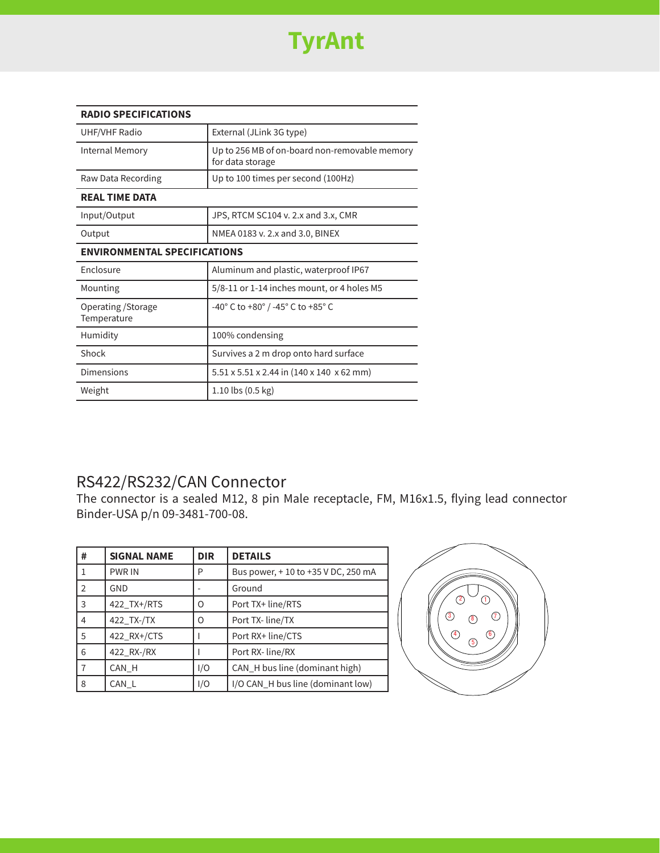

| <b>RADIO SPECIFICATIONS</b>         |                                                                   |  |
|-------------------------------------|-------------------------------------------------------------------|--|
| <b>UHF/VHF Radio</b>                | External (JLink 3G type)                                          |  |
| Internal Memory                     | Up to 256 MB of on-board non-removable memory<br>for data storage |  |
| Raw Data Recording                  | Up to 100 times per second (100Hz)                                |  |
| <b>REAL TIME DATA</b>               |                                                                   |  |
| Input/Output                        | JPS, RTCM SC104 v. 2.x and 3.x, CMR                               |  |
| Output                              | NMEA 0183 v. 2.x and 3.0, BINEX                                   |  |
| <b>ENVIRONMENTAL SPECIFICATIONS</b> |                                                                   |  |
| Enclosure                           | Aluminum and plastic, waterproof IP67                             |  |
| Mounting                            | 5/8-11 or 1-14 inches mount, or 4 holes M5                        |  |
| Operating / Storage<br>Temperature  | -40° C to +80° / -45° C to +85° C                                 |  |
| Humidity                            | 100% condensing                                                   |  |
| Shock                               | Survives a 2 m drop onto hard surface                             |  |
| Dimensions                          | 5.51 x 5.51 x 2.44 in (140 x 140 x 62 mm)                         |  |
| Weight                              | $1.10$ lbs $(0.5 \text{ kg})$                                     |  |

### RS422/RS232/CAN Connector

The connector is a sealed M12, 8 pin Male receptacle, FM, M16x1.5, flying lead connector Binder-USA p/n 09-3481-700-08.

| #              | <b>SIGNAL NAME</b> | <b>DIR</b> | <b>DETAILS</b>                     |
|----------------|--------------------|------------|------------------------------------|
|                | <b>PWR IN</b>      | P          | Bus power, +10 to +35 V DC, 250 mA |
| $\overline{2}$ | GND                |            | Ground                             |
| 3              | 422 TX+/RTS        | O          | Port TX+ line/RTS                  |
| 4              | 422_TX-/TX         | O          | Port TX- line/TX                   |
| 5              | 422 RX+/CTS        |            | Port RX+ line/CTS                  |
| 6              | 422_RX-/RX         |            | Port RX- line/RX                   |
|                | CAN H              | I/O        | CAN H bus line (dominant high)     |
| 8              | CAN L              | I/O        | I/O CAN_H bus line (dominant low)  |